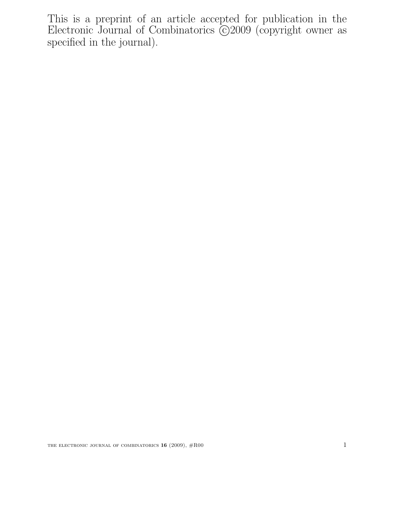This is a preprint of an article accepted for publication in the Electronic Journal of Combinatorics  $\odot$ 2009 (copyright owner as specified in the journal).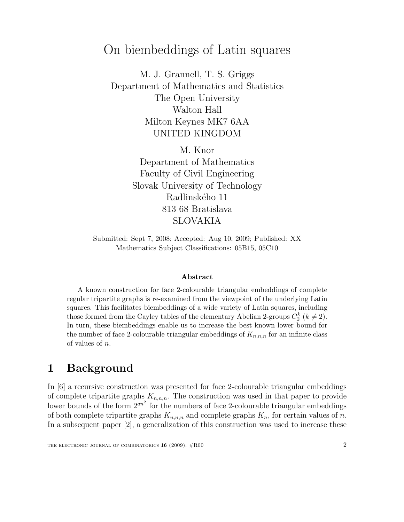# On biembeddings of Latin squares

M. J. Grannell, T. S. Griggs Department of Mathematics and Statistics The Open University Walton Hall Milton Keynes MK7 6AA UNITED KINGDOM

> M. Knor Department of Mathematics Faculty of Civil Engineering Slovak University of Technology Radlinského 11 813 68 Bratislava SLOVAKIA

Submitted: Sept 7, 2008; Accepted: Aug 10, 2009; Published: XX Mathematics Subject Classifications: 05B15, 05C10

#### Abstract

A known construction for face 2-colourable triangular embeddings of complete regular tripartite graphs is re-examined from the viewpoint of the underlying Latin squares. This facilitates biembeddings of a wide variety of Latin squares, including those formed from the Cayley tables of the elementary Abelian 2-groups  $C_2^k$  ( $k \neq 2$ ). In turn, these biembeddings enable us to increase the best known lower bound for the number of face 2-colourable triangular embeddings of  $K_{n,n,n}$  for an infinite class of values of n.

## 1 Background

In [6] a recursive construction was presented for face 2-colourable triangular embeddings of complete tripartite graphs  $K_{n,n,n}$ . The construction was used in that paper to provide lower bounds of the form  $2^{an^2}$  for the numbers of face 2-colourable triangular embeddings of both complete tripartite graphs  $K_{n,n,n}$  and complete graphs  $K_n$ , for certain values of n. In a subsequent paper [2], a generalization of this construction was used to increase these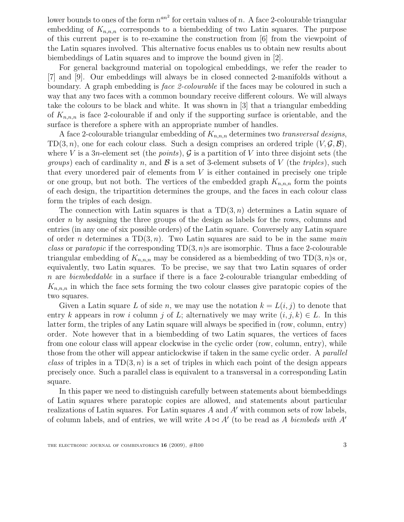lower bounds to ones of the form  $n^{an^2}$  for certain values of n. A face 2-colourable triangular embedding of  $K_{n,n,n}$  corresponds to a biembedding of two Latin squares. The purpose of this current paper is to re-examine the construction from [6] from the viewpoint of the Latin squares involved. This alternative focus enables us to obtain new results about biembeddings of Latin squares and to improve the bound given in [2].

For general background material on topological embeddings, we refer the reader to [7] and [9]. Our embeddings will always be in closed connected 2-manifolds without a boundary. A graph embedding is *face 2-colourable* if the faces may be coloured in such a way that any two faces with a common boundary receive different colours. We will always take the colours to be black and white. It was shown in [3] that a triangular embedding of  $K_{n,n,n}$  is face 2-colourable if and only if the supporting surface is orientable, and the surface is therefore a sphere with an appropriate number of handles.

A face 2-colourable triangular embedding of  $K_{n,n,n}$  determines two transversal designs, TD(3, n), one for each colour class. Such a design comprises an ordered triple  $(V, \mathcal{G}, \mathcal{B})$ , where V is a 3n-element set (the *points*),  $\mathcal G$  is a partition of V into three disjoint sets (the *groups*) each of cardinality n, and  $\beta$  is a set of 3-element subsets of V (the triples), such that every unordered pair of elements from  $V$  is either contained in precisely one triple or one group, but not both. The vertices of the embedded graph  $K_{n,n,n}$  form the points of each design, the tripartition determines the groups, and the faces in each colour class form the triples of each design.

The connection with Latin squares is that a  $TD(3, n)$  determines a Latin square of order  $n$  by assigning the three groups of the design as labels for the rows, columns and entries (in any one of six possible orders) of the Latin square. Conversely any Latin square of order n determines a  $TD(3, n)$ . Two Latin squares are said to be in the same main class or paratopic if the corresponding  $TD(3, n)$ s are isomorphic. Thus a face 2-colourable triangular embedding of  $K_{n,n,n}$  may be considered as a biembedding of two TD(3, n)s or, equivalently, two Latin squares. To be precise, we say that two Latin squares of order n are biembeddable in a surface if there is a face 2-colourable triangular embedding of  $K_{n,n,n}$  in which the face sets forming the two colour classes give paratopic copies of the two squares.

Given a Latin square L of side n, we may use the notation  $k = L(i, j)$  to denote that entry k appears in row i column j of L; alternatively we may write  $(i, j, k) \in L$ . In this latter form, the triples of any Latin square will always be specified in (row, column, entry) order. Note however that in a biembedding of two Latin squares, the vertices of faces from one colour class will appear clockwise in the cyclic order (row, column, entry), while those from the other will appear anticlockwise if taken in the same cyclic order. A *parallel* class of triples in a  $TD(3, n)$  is a set of triples in which each point of the design appears precisely once. Such a parallel class is equivalent to a transversal in a corresponding Latin square.

In this paper we need to distinguish carefully between statements about biembeddings of Latin squares where paratopic copies are allowed, and statements about particular realizations of Latin squares. For Latin squares A and A′ with common sets of row labels, of column labels, and of entries, we will write  $A \bowtie A'$  (to be read as A biembeds with A'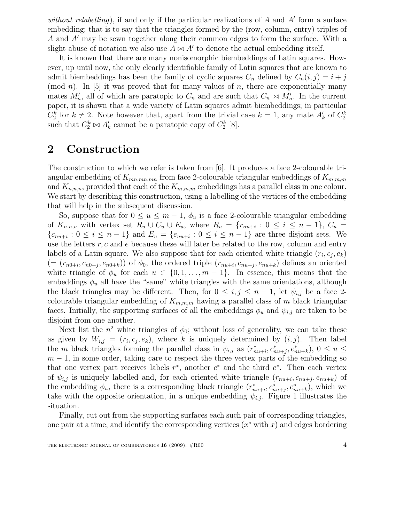without relabelling), if and only if the particular realizations of  $A$  and  $A'$  form a surface embedding; that is to say that the triangles formed by the (row, column, entry) triples of A and A′ may be sewn together along their common edges to form the surface. With a slight abuse of notation we also use  $\overline{A} \bowtie A'$  to denote the actual embedding itself.

It is known that there are many nonisomorphic biembeddings of Latin squares. However, up until now, the only clearly identifiable family of Latin squares that are known to admit biembeddings has been the family of cyclic squares  $C_n$  defined by  $C_n(i, j) = i + j$ (mod *n*). In [5] it was proved that for many values of *n*, there are exponentially many mates  $M'_n$ , all of which are paratopic to  $C_n$  and are such that  $C_n \bowtie M'_n$ . In the current paper, it is shown that a wide variety of Latin squares admit biembeddings; in particular  $C_2^k$  for  $k \neq 2$ . Note however that, apart from the trivial case  $k = 1$ , any mate  $A'_k$  of  $C_2^k$ such that  $C_2^k \bowtie A'_k$  cannot be a paratopic copy of  $C_2^k$  [8].

## 2 Construction

The construction to which we refer is taken from [6]. It produces a face 2-colourable triangular embedding of  $K_{mn,mn,mn}$  from face 2-colourable triangular embeddings of  $K_{m,m,m}$ and  $K_{n,n,n}$ , provided that each of the  $K_{m,m,m}$  embeddings has a parallel class in one colour. We start by describing this construction, using a labelling of the vertices of the embedding that will help in the subsequent discussion.

So, suppose that for  $0 \le u \le m-1$ ,  $\phi_u$  is a face 2-colourable triangular embedding of  $K_{n,n,n}$  with vertex set  $R_u \cup C_u \cup E_u$ , where  $R_u = \{r_{nu+i} : 0 \le i \le n-1\}$ ,  $C_u =$  $\{c_{nu+i}: 0 \le i \le n-1\}$  and  $E_u = \{e_{nu+i}: 0 \le i \le n-1\}$  are three disjoint sets. We use the letters  $r, c$  and  $e$  because these will later be related to the row, column and entry labels of a Latin square. We also suppose that for each oriented white triangle  $(r_i, c_j, e_k)$  $(=(r_{n0+i},c_{n0+j},e_{n0+k}))$  of  $\phi_0$ , the ordered triple  $(r_{nu+i},c_{nu+j},e_{nu+k})$  defines an oriented white triangle of  $\phi_u$  for each  $u \in \{0, 1, \ldots, m-1\}$ . In essence, this means that the embeddings  $\phi_u$  all have the "same" white triangles with the same orientations, although the black triangles may be different. Then, for  $0 \leq i, j \leq n-1$ , let  $\psi_{i,j}$  be a face 2colourable triangular embedding of  $K_{m,m,m}$  having a parallel class of m black triangular faces. Initially, the supporting surfaces of all the embeddings  $\phi_u$  and  $\psi_{i,j}$  are taken to be disjoint from one another.

Next list the  $n^2$  white triangles of  $\phi_0$ ; without loss of generality, we can take these as given by  $W_{i,j} = (r_i, c_j, e_k)$ , where k is uniquely determined by  $(i, j)$ . Then label the m black triangles forming the parallel class in  $\psi_{i,j}$  as  $(r_n^*)$ \* $\sum_{n=1}^{k} c_{n+1}^{*}, e_{n+1}^{*}, e_{n+1}^{*}$ ,  $0 \leq u \leq$  $m-1$ , in some order, taking care to respect the three vertex parts of the embedding so that one vertex part receives labels  $r^*$ , another  $c^*$  and the third  $e^*$ . Then each vertex of  $\psi_{i,j}$  is uniquely labelled and, for each oriented white triangle  $(r_{nu+i}, c_{nu+j}, e_{nu+k})$  of the embedding  $\phi_u$ , there is a corresponding black triangle  $(r_n^*)$  $\sum_{nu+i}^{*} c_{nu+j}^{*}, e_{nu+k}^{*}$ , which we take with the opposite orientation, in a unique embedding  $\psi_{i,j}$ . Figure 1 illustrates the situation.

Finally, cut out from the supporting surfaces each such pair of corresponding triangles, one pair at a time, and identify the corresponding vertices  $(x^*$  with x) and edges bordering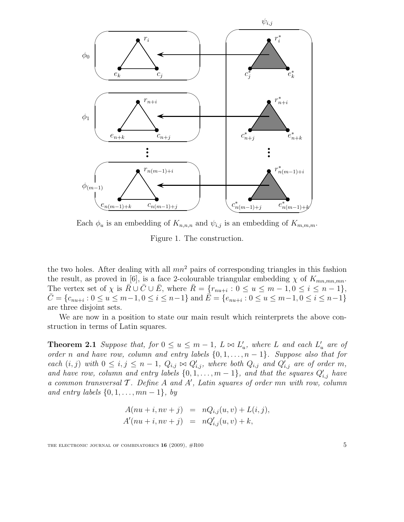

Each  $\phi_u$  is an embedding of  $K_{n,n,n}$  and  $\psi_{i,j}$  is an embedding of  $K_{m,m,m}$ .

Figure 1. The construction.

the two holes. After dealing with all  $mn^2$  pairs of corresponding triangles in this fashion the result, as proved in [6], is a face 2-colourable triangular embedding  $\chi$  of  $K_{mn,mn,mn}$ . The vertex set of  $\chi$  is  $\overline{R} \cup \overline{C} \cup \overline{E}$ , where  $\overline{R} = \{r_{nu+i} : 0 \le u \le m-1, 0 \le i \le n-1\},$  $\bar{C} = \{c_{nu+i} : 0 \le u \le m-1, 0 \le i \le n-1\}$  and  $\bar{E} = \{e_{nu+i} : 0 \le u \le m-1, 0 \le i \le n-1\}$ are three disjoint sets.

We are now in a position to state our main result which reinterprets the above construction in terms of Latin squares.

**Theorem 2.1** Suppose that, for  $0 \le u \le m-1$ ,  $L \bowtie L'_{u}$ , where L and each  $L'_{u}$  $\int_u$  are of order n and have row, column and entry labels  $\{0, 1, \ldots, n-1\}$ . Suppose also that for each  $(i, j)$  with  $0 \leq i, j \leq n-1$ ,  $Q_{i,j} \bowtie Q'_{i,j}$ , where both  $Q_{i,j}$  and  $Q'_{i,j}$  are of order m, and have row, column and entry labels  $\{0, 1, \ldots, m-1\}$ , and that the squares  $Q'_{i,j}$  have a common transversal  $\mathcal T$ . Define  $A$  and  $A'$ , Latin squares of order mn with row, column and entry labels  $\{0, 1, \ldots, mn-1\}$ , by

$$
A(nu + i, nv + j) = nQ_{i,j}(u, v) + L(i, j),
$$
  
\n
$$
A'(nu + i, nv + j) = nQ'_{i,j}(u, v) + k,
$$

THE ELECTRONIC JOURNAL OF COMBINATORICS  $16$  (2009),  $\#R00$  5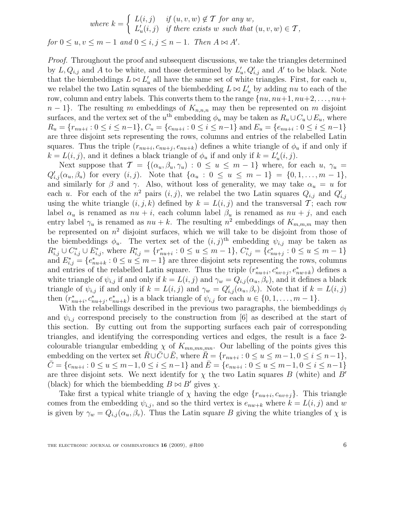where 
$$
k = \begin{cases} L(i,j) & \text{if } (u, v, w) \notin \mathcal{T} \text{ for any } w, \\ L'_u(i,j) & \text{if there exists } w \text{ such that } (u, v, w) \in \mathcal{T}, \end{cases}
$$

for  $0 \le u, v \le m-1$  and  $0 \le i, j \le n-1$ . Then  $A \bowtie A'$ .

Proof. Throughout the proof and subsequent discussions, we take the triangles determined by  $L, Q_{i,j}$  and A to be white, and those determined by  $L'_{i,j}$  $U'_u, Q'_{i,j}$  and A' to be black. Note that the biembeddings  $L \bowtie L'_{u}$  all have the same set of white triangles. First, for each u, we relabel the two Latin squares of the biembedding  $L \bowtie L'_{u}$  by adding nu to each of the row, column and entry labels. This converts them to the range  $\{nu, nu+1, nu+2, \ldots, nu+1\}$  $n-1$ . The resulting m embeddings of  $K_{n,n,n}$  may then be represented on m disjoint surfaces, and the vertex set of the  $u^{\text{th}}$  embedding  $\phi_u$  may be taken as  $R_u \cup C_u \cup E_u$ , where  $R_u = \{r_{nu+i} : 0 \le i \le n-1\}, C_u = \{c_{nu+i} : 0 \le i \le n-1\}$  and  $E_u = \{e_{nu+i} : 0 \le i \le n-1\}$ are three disjoint sets representing the rows, columns and entries of the relabelled Latin squares. Thus the triple  $(r_{nu+i}, c_{nu+j}, e_{nu+k})$  defines a white triangle of  $\phi_u$  if and only if  $k = L(i, j)$ , and it defines a black triangle of  $\phi_u$  if and only if  $k = L'_i$  $u'(i,j).$ 

Next suppose that  $\mathcal{T} = \{(\alpha_u, \beta_u, \gamma_u) : 0 \le u \le m-1\}$  where, for each  $u, \gamma_u =$  $Q'_{i,j}(\alpha_u, \beta_u)$  for every  $(i, j)$ . Note that  $\{\alpha_u : 0 \le u \le m-1\} = \{0, 1, \ldots, m-1\},$ and similarly for  $\beta$  and  $\gamma$ . Also, without loss of generality, we may take  $\alpha_u = u$  for each u. For each of the  $n^2$  pairs  $(i, j)$ , we relabel the two Latin squares  $Q_{i,j}$  and  $Q'_{i,j}$ using the white triangle  $(i, j, k)$  defined by  $k = L(i, j)$  and the transversal  $\mathcal{T}$ ; each row label  $\alpha_u$  is renamed as  $nu + i$ , each column label  $\beta_u$  is renamed as  $nu + j$ , and each entry label  $\gamma_u$  is renamed as  $nu + k$ . The resulting  $n^2$  embeddings of  $K_{m,m,m}$  may then be represented on  $n^2$  disjoint surfaces, which we will take to be disjoint from those of the biembeddings  $\phi_u$ . The vertex set of the  $(i, j)$ <sup>th</sup> embedding  $\psi_{i,j}$  may be taken as  $R^*_{i,j} \cup C^*_{i,j} \cup E^*_{i,j}$ , where  $R^*_{i,j} = \{r^*_{n,j}\}$  $_{nu+i}^*$ :  $0 \le u \le m-1$ },  $C_{i,j}^* = \{c_n^*$  $_{nu+j}^*$ :  $0 \le u \le m-1$ } and  $E_{i,j}^* = \{e_n^* \}$  $_{nu+k}^*$ :  $0 \le u \le m-1$ } are three disjoint sets representing the rows, columns and entries of the relabelled Latin square. Thus the triple  $(r_n^*)$  $\sum_{nu+i}^*$ ,  $c_{nv+j}^*$ ,  $e_{nw+k}^*$ ) defines a white triangle of  $\psi_{i,j}$  if and only if  $k = L(i,j)$  and  $\gamma_w = Q_{i,j}(\alpha_u, \beta_v)$ , and it defines a black triangle of  $\psi_{i,j}$  if and only if  $k = L(i,j)$  and  $\gamma_w = Q'_{i,j}(\alpha_w, \beta_v)$ . Note that if  $k = L(i,j)$ then  $(r_n^*)$  $\lambda_{n+1}^*, c_{n+1}^*, e_{n+1}^*$  is a black triangle of  $\psi_{i,j}$  for each  $u \in \{0, 1, \ldots, m-1\}.$ 

With the relabellings described in the previous two paragraphs, the biembeddings  $\phi_l$ and  $\psi_{i,j}$  correspond precisely to the construction from [6] as described at the start of this section. By cutting out from the supporting surfaces each pair of corresponding triangles, and identifying the corresponding vertices and edges, the result is a face 2 colourable triangular embedding  $\chi$  of  $K_{mn,mn,mn}$ . Our labelling of the points gives this embedding on the vertex set  $\overline{R} \cup \overline{C} \cup \overline{E}$ , where  $\overline{R} = \{r_{nu+i} : 0 \leq u \leq m-1, 0 \leq i \leq n-1\},\$  $\overline{C} = \{c_{nu+i} : 0 \le u \le m-1, 0 \le i \le n-1\}$  and  $\overline{E} = \{e_{nu+i} : 0 \le u \le m-1, 0 \le i \le n-1\}$ are three disjoint sets. We next identify for  $\chi$  the two Latin squares B (white) and B' (black) for which the biembedding  $B \bowtie B'$  gives  $\chi$ .

Take first a typical white triangle of  $\chi$  having the edge  $\{r_{nu+i}, c_{nv+j}\}$ . This triangle comes from the embedding  $\psi_{i,j}$ , and so the third vertex is  $e_{nw+k}$  where  $k = L(i, j)$  and w is given by  $\gamma_w = Q_{i,j}(\alpha_u, \beta_v)$ . Thus the Latin square B giving the white triangles of  $\chi$  is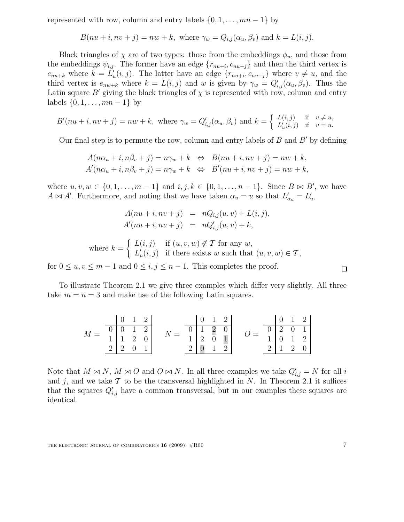represented with row, column and entry labels  $\{0, 1, \ldots, mn-1\}$  by

$$
B(nu + i, nv + j) = nw + k, \text{ where } \gamma_w = Q_{i,j}(\alpha_u, \beta_v) \text{ and } k = L(i, j).
$$

Black triangles of  $\chi$  are of two types: those from the embeddings  $\phi_u$ , and those from the embeddings  $\psi_{i,j}$ . The former have an edge  $\{r_{nu+i}, c_{nu+j}\}$  and then the third vertex is  $e_{nu+k}$  where  $\widetilde{k} = L'_i$  $u'_u(i,j)$ . The latter have an edge  $\{r_{nu+i}, c_{nv+j}\}\$  where  $v \neq u$ , and the third vertex is  $e_{nw+k}$  where  $k = L(i, j)$  and w is given by  $\gamma_w = Q'_{i,j}(\alpha_u, \beta_v)$ . Thus the Latin square B' giving the black triangles of  $\chi$  is represented with row, column and entry labels  $\{0, 1, \ldots, mn-1\}$  by

$$
B'(nu+i,nv+j) = nw+k, \text{ where } \gamma_w = Q'_{i,j}(\alpha_u, \beta_v) \text{ and } k = \begin{cases} L(i,j) & \text{if } v \neq u, \\ L'_u(i,j) & \text{if } v = u. \end{cases}
$$

Our final step is to permute the row, column and entry labels of  $B$  and  $B'$  by defining

$$
A(n\alpha_u + i, n\beta_v + j) = n\gamma_w + k \Leftrightarrow B(nu + i, nv + j) = nw + k,
$$
  

$$
A'(n\alpha_u + i, n\beta_v + j) = n\gamma_w + k \Leftrightarrow B'(nu + i, nv + j) = nw + k,
$$

where  $u, v, w \in \{0, 1, \ldots, m-1\}$  and  $i, j, k \in \{0, 1, \ldots, n-1\}$ . Since  $B \bowtie B'$ , we have  $A \bowtie A'$ . Furthermore, and noting that we have taken  $\alpha_u = u$  so that  $L'_{\alpha_u} = L'_u$  $_u'$ 

$$
A(nu + i, nv + j) = nQ_{i,j}(u, v) + L(i, j),
$$
  
\n
$$
A'(nu + i, nv + j) = nQ'_{i,j}(u, v) + k,
$$

where  $k =$  $\int L(i, j)$  if  $(u, v, w) \notin \mathcal{T}$  for any w,  $L_i'$  $u(u, j)$  if there exists w such that  $(u, v, w) \in \mathcal{T}$ ,

for  $0 \le u, v \le m - 1$  and  $0 \le i, j \le n - 1$ . This completes the proof.

To illustrate Theorem 2.1 we give three examples which differ very slightly. All three take  $m = n = 3$  and make use of the following Latin squares.

|  |              |                   |                | $1 \quad 2$   |   |                 |   | $\begin{array}{cccc} \square & \square & \square & 1 & 2 \end{array}$ |                | $\begin{bmatrix} 0 & 1 \end{bmatrix}$ |                | <sup>2</sup> |
|--|--------------|-------------------|----------------|---------------|---|-----------------|---|-----------------------------------------------------------------------|----------------|---------------------------------------|----------------|--------------|
|  | $\mathbf{U}$ |                   |                | $\mathcal{D}$ |   |                 |   |                                                                       |                | $\mathcal{D}$                         |                |              |
|  |              | $\overline{1}$    | $\overline{2}$ |               |   | $1 \mid 2 \mid$ |   |                                                                       |                | $^{\circ}$ 0                          | $\overline{1}$ | 2            |
|  |              | $2 \mid 2 \mid 0$ |                |               | 2 |                 | 1 | $\mathcal{D}$                                                         | 2 <sup>1</sup> | $-1$                                  | 2              |              |

Note that  $M \bowtie N$ ,  $M \bowtie O$  and  $O \bowtie N$ . In all three examples we take  $Q'_{i,j} = N$  for all i and j, and we take  $\mathcal T$  to be the transversal highlighted in N. In Theorem 2.1 it suffices that the squares  $Q'_{i,j}$  have a common transversal, but in our examples these squares are identical.

THE ELECTRONIC JOURNAL OF COMBINATORICS  $16$  (2009),  $#R00$  7

 $\Box$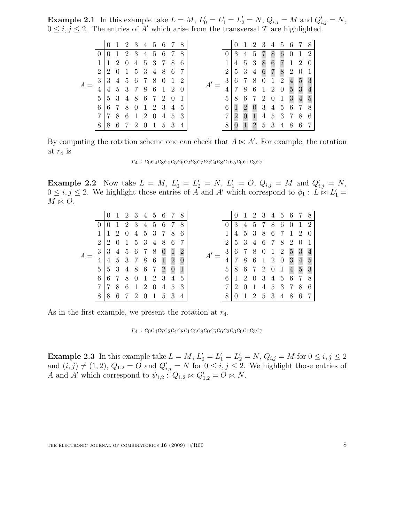**Example 2.1** In this example take  $L = M$ ,  $L'_0 = L'_1 = L'_2 = N$ ,  $Q_{i,j} = M$  and  $Q'_{i,j} = N$ ,  $0 \leq i, j \leq 2$ . The entries of A' which arise from the transversal  $\mathcal{T}$  are highlighted.

|                | $\Omega$       |                  |                | 1 2 3 4 5 6 7 |                |                |                |            | - 8            |  |                |   | 1               | 2              | 3 <sup>3</sup>  |                | 4 5 6 7        |                |                | - 8            |
|----------------|----------------|------------------|----------------|---------------|----------------|----------------|----------------|------------|----------------|--|----------------|---|-----------------|----------------|-----------------|----------------|----------------|----------------|----------------|----------------|
|                |                |                  |                | 1 2 3 4 5 6 7 |                |                |                |            | 8              |  |                | 3 | 4               | 5              |                 |                | 6              | $\overline{0}$ | -1             | $\overline{2}$ |
| 1              | $\mathbf{1}$   | 2                | $\overline{0}$ |               |                | 4 5 3 7        |                | 8          | 6              |  |                | 4 |                 | $5\quad 3$     | 8               | 6              | 7              | $1\quad2$      |                | - 0            |
| $\overline{2}$ | $\overline{2}$ | $\left( \right)$ |                | 1 5 3 4 8     |                |                |                | 6          |                |  | $\overline{2}$ | 5 | 3               | $\overline{4}$ | $6\phantom{.}6$ | $\overline{7}$ | 8              | $2^{\circ}$    | $\overline{0}$ | -1             |
| 3              | 3              |                  |                | 4 5 6 7 8     |                |                | -0             | -1         | $\overline{2}$ |  | 3              | 6 | 7               | - 8            | $\overline{0}$  | $\mathbf{1}$   | $\overline{2}$ | 4              | $\overline{5}$ | 3              |
| 4              | 4              | 5 <sup>5</sup>   | 3              | 7 8           |                | -6             | $\overline{1}$ | -2         | -0             |  | 4              | 7 | 8               | 6              | 1               | $\overline{2}$ | $\overline{0}$ | 5              | 3              | $\overline{4}$ |
| 5              | 5              | 3                |                | 486           |                | 7 2            |                | -0         |                |  | 5              | 8 | $6\phantom{.}6$ | 7 2            |                 | $\overline{0}$ | $\mathbf{1}$   | 3              | 4              | $\overline{5}$ |
| 6              | 6              | $7\overline{ }$  |                | 8 0 1 2 3     |                |                |                | 4          | $\frac{5}{2}$  |  | 6              |   |                 | $\overline{0}$ | 3               | 4              | -5             | 6              |                | 8              |
| 7              | 7              | 8                |                | 6 1           | $\overline{2}$ | $\overline{0}$ | 4              | 5          | -3             |  |                |   |                 | 1              | 4               |                | $5\quad 3$     | 78             |                | 6              |
| 8              | 8              | 6                |                | 7 2 0         |                | 1              |                | $5\quad 3$ |                |  |                |   |                 |                |                 | $5\quad 3$     | 4              | 8              | 6              | -7             |

By computing the rotation scheme one can check that  $A \bowtie A'$ . For example, the rotation at  $r_4$  is

#### $r_4$ :  $c_0e_4c_8e_0c_5e_6c_2e_3c_7e_2c_4e_8c_1e_5c_6e_1c_3e_7$

**Example 2.2** Now take  $L = M$ ,  $L'_0 = L'_2 = N$ ,  $L'_1 = O$ ,  $Q_{i,j} = M$  and  $Q'_{i,j} = N$ ,  $0 \leq i, j \leq 2$ . We highlight those entries of A and A' which correspond to  $\phi_1 : L^{\infty} \otimes L^{\prime}_1 =$  $M \bowtie O$ .

|                |                |     |       |           |                |             | 0 1 2 3 4 5 6 7 8 |                |                |
|----------------|----------------|-----|-------|-----------|----------------|-------------|-------------------|----------------|----------------|
| $\theta$       | $\overline{1}$ |     | 2 3   |           |                | 4 5 6 7     |                   | -8             |                |
|                |                | 2 0 |       |           |                | 4 5 3 7     |                   | -8             | 6              |
| 2 <sub>1</sub> | 2              |     |       |           |                | 0 1 5 3 4 8 |                   | -6             | -7             |
|                | 3 3            |     |       | 4 5 6 7   |                | 8           |                   |                | $\overline{2}$ |
| 4              | 4              |     |       | 5 3 7 8   |                | 6           | $\mathbf{1}$      | $\overline{2}$ |                |
| 5 <sub>l</sub> | 5              |     |       | 3 4 8 6 7 |                |             | $\overline{2}$    |                |                |
| 6              | 6              |     |       |           |                | 7 8 0 1 2 3 |                   | 4              | $\overline{5}$ |
|                | 7              | 8   |       | 6 1 2 0   |                |             |                   | 4 5 3          |                |
| 8              | 8              |     | 6 7 2 |           | $\overline{0}$ | -1          | 5 3               |                | $\overline{4}$ |

As in the first example, we present the rotation at  $r_4$ ,

 $r_4$  :  $c_0e_4c_7e_2c_4e_8c_1e_5c_8e_0c_5e_6c_2e_3c_6e_1c_3e_7$ 

**Example 2.3** In this example take  $L = M$ ,  $L'_0 = L'_1 = L'_2 = N$ ,  $Q_{i,j} = M$  for  $0 \le i, j \le 2$ and  $(i, j) \neq (1, 2), Q_{1,2} = O$  and  $Q'_{i,j} = N$  for  $0 \leq i, j \leq 2$ . We highlight those entries of A and A' which correspond to  $\psi_{1,2}: Q_{1,2} \bowtie Q'_{1,2} = O \bowtie N$ .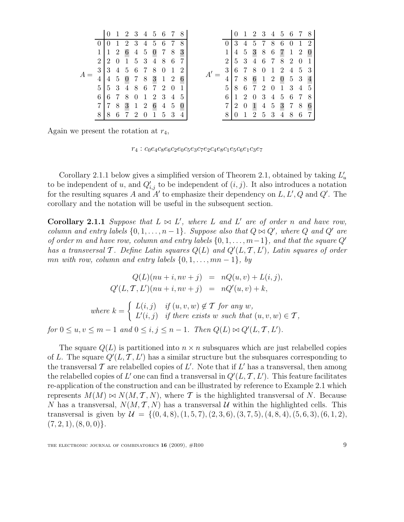|  |                |                |                |                   |                |   | 0 1 2 3 4 5 6 7 8 |                |                 |                |  |                |                | $\overline{1}$ |                   |                |           |                |     | 2 3 4 5 6 7 8       |                |
|--|----------------|----------------|----------------|-------------------|----------------|---|-------------------|----------------|-----------------|----------------|--|----------------|----------------|----------------|-------------------|----------------|-----------|----------------|-----|---------------------|----------------|
|  |                |                |                | 2 3               |                |   | $4\quad 5\quad 6$ |                | $\overline{7}$  | 8              |  |                |                | $\overline{4}$ |                   | 5 7            | 8         | 6              |     | $0 \quad 1 \quad 2$ |                |
|  |                | $\perp$        | 2 6            |                   | $4\quad 5$     |   | $\overline{0}$    | 7              | 8               | 3              |  |                | 4              |                | $5\quad 3\quad 8$ |                | - 6       | $\overline{7}$ |     | $1\quad 2\quad 0$   |                |
|  | 2 <sub>1</sub> | $\overline{2}$ | $\overline{0}$ | <sup>1</sup>      | $5\quad 3$     |   | $\overline{4}$    | 8              | 6               |                |  | 2 <sup>1</sup> |                |                | 5 3 4 6 7 8       |                |           |                | 2 0 |                     | $\overline{1}$ |
|  | 3 <sup>1</sup> | 3              |                | 4 5 6 7           |                |   | 8                 | $\overline{0}$ | 1               | $\overline{2}$ |  |                | $3 \mid 6$     |                | 7 8 0             |                |           | 1 2            |     | 4 5 3               |                |
|  | 4              |                |                | $4\quad 5\quad 0$ | $\overline{7}$ | 8 |                   | 3 1 2          |                 | 6              |  |                | $\overline{7}$ |                |                   |                |           |                |     | 8 6 1 2 0 5 3 4     |                |
|  | 5              | $5^{\circ}$    |                |                   |                |   | 3 4 8 6 7 2       |                | 0               |                |  | 5              | 8              |                | 6 7 2 0           |                |           | 1 3            |     | $\overline{4}$      | - 5            |
|  | 6              |                |                |                   |                |   | 6 7 8 0 1 2 3     |                | $\overline{4}$  | -5             |  | 6              |                |                | $2\quad0$         | 3 <sup>3</sup> |           |                |     | 4 5 6 7 8           |                |
|  |                | 7              | 8              | 3 1 2 6           |                |   |                   | $\overline{4}$ | $5\overline{)}$ | $\bf{0}$       |  | 7              | $\overline{2}$ | $\overline{0}$ | $\mathbf{1}$      |                | 4 5 3 7 8 |                |     |                     | 6              |
|  | 8              | 8              |                | 6 7 2 0           |                |   | 1 5 3             |                |                 | 4              |  |                |                | $\overline{1}$ | 2                 | $5\quad 3$     |           | $\overline{4}$ | 8   | 6 7                 |                |

Again we present the rotation at  $r_4$ ,

 $r_4$ :  $c_0e_4c_8e_6c_2e_0c_5e_3c_7e_2c_4e_8c_1e_5c_6e_1c_3e_7$ 

Corollary 2.1.1 below gives a simplified version of Theorem 2.1, obtained by taking  $L'_{i}$ u to be independent of u, and  $Q'_{i,j}$  to be independent of  $(i, j)$ . It also introduces a notation for the resulting squares A and A' to emphasize their dependency on  $L, L', Q$  and  $Q'$ . The corollary and the notation will be useful in the subsequent section.

Corollary 2.1.1 Suppose that  $L \bowtie L'$ , where L and L' are of order n and have row, column and entry labels  $\{0, 1, \ldots, n-1\}$ . Suppose also that  $Q \bowtie Q'$ , where  $Q$  and  $Q'$  are of order m and have row, column and entry labels  $\{0, 1, \ldots, m-1\}$ , and that the square  $Q'$ has a transversal T. Define Latin squares  $Q(L)$  and  $Q'(L, \mathcal{T}, L')$ , Latin squares of order mn with row, column and entry labels  $\{0, 1, \ldots, mn-1\}$ , by

$$
Q(L)(nu + i, nv + j) = nQ(u, v) + L(i, j),
$$
  
\n
$$
Q'(L, T, L')(nu + i, nv + j) = nQ'(u, v) + k,
$$

where  $k =$  $\int L(i, j)$  if  $(u, v, w) \notin \mathcal{T}$  for any w,  $L'(i, j)$  if there exists w such that  $(u, v, w) \in \mathcal{T}$ ,

for  $0 \le u, v \le m-1$  and  $0 \le i, j \le n-1$ . Then  $Q(L) \bowtie Q'(L, \mathcal{T}, L')$ .

The square  $Q(L)$  is partitioned into  $n \times n$  subsquares which are just relabelled copies of L. The square  $Q'(L, \mathcal{T}, L')$  has a similar structure but the subsquares corresponding to the transversal  $\mathcal T$  are relabelled copies of  $L'$ . Note that if  $L'$  has a transversal, then among the relabelled copies of L' one can find a transversal in  $Q'(L, \mathcal{T}, L')$ . This feature facilitates re-application of the construction and can be illustrated by reference to Example 2.1 which represents  $M(M) \bowtie N(M, \mathcal{T}, N)$ , where T is the highlighted transversal of N. Because N has a transversal,  $N(M, \mathcal{T}, N)$  has a transversal U within the highlighted cells. This transversal is given by  $\mathcal{U} = \{(0,4,8), (1,5,7), (2,3,6), (3,7,5), (4,8,4), (5,6,3), (6,1,2),\}$  $(7, 2, 1), (8, 0, 0)\}.$ 

THE ELECTRONIC JOURNAL OF COMBINATORICS  $16$  (2009),  $\#R00$  9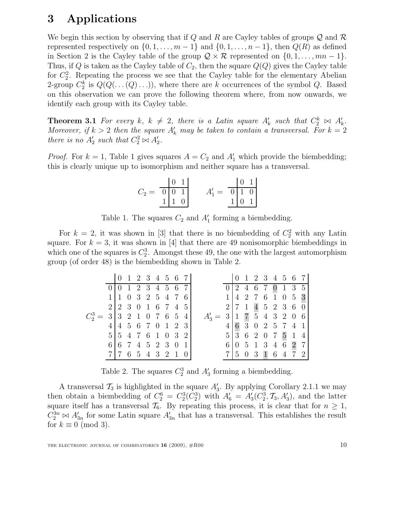## 3 Applications

We begin this section by observing that if Q and R are Cayley tables of groups  $\mathcal Q$  and  $\mathcal R$ represented respectively on  $\{0, 1, \ldots, m-1\}$  and  $\{0, 1, \ldots, n-1\}$ , then  $Q(R)$  as defined in Section 2 is the Cayley table of the group  $\mathcal{Q} \times \mathcal{R}$  represented on  $\{0, 1, \ldots, mn - 1\}$ . Thus, if Q is taken as the Cayley table of  $C_2$ , then the square  $Q(Q)$  gives the Cayley table for  $C_2^2$ . Repeating the process we see that the Cayley table for the elementary Abelian 2-group  $C_2^k$  is  $Q(Q(\ldots(Q)\ldots))$ , where there are k occurrences of the symbol Q. Based on this observation we can prove the following theorem where, from now onwards, we identify each group with its Cayley table.

**Theorem 3.1** For every k,  $k \neq 2$ , there is a Latin square  $A'_k$  such that  $C_2^k \bowtie A'_k$ . Moreover, if  $k > 2$  then the square  $A'_k$  may be taken to contain a transversal. For  $k = 2$ there is no  $A'_2$  such that  $C_2^2 \bowtie A'_2$ .

*Proof.* For  $k = 1$ , Table 1 gives squares  $A = C_2$  and  $A'_1$  which provide the biembedding; this is clearly unique up to isomorphism and neither square has a transversal.

$$
C_2 = \begin{array}{c|cc} & 0 & 1 \\ \hline 0 & 0 & 1 \\ 1 & 1 & 0 \end{array} \qquad A'_1 = \begin{array}{c|cc} & 0 & 1 \\ \hline 0 & 1 & 0 \\ 1 & 0 & 1 \end{array}
$$

Table 1. The squares  $C_2$  and  $A'_1$  $_1'$  forming a biembedding.

For  $k = 2$ , it was shown in [3] that there is no biembedding of  $C_2^2$  with any Latin square. For  $k = 3$ , it was shown in [4] that there are 49 nonisomorphic biembeddings in which one of the squares is  $C_2^3$ . Amongst these 49, the one with the largest automorphism group (of order 48) is the biembedding shown in Table 2.

|                                                                         |  |                                                                  |  |  |                                                                        |                                                                 |  |  |  | $\begin{array}{ccccccccc} 0 & 1 & 2 & 3 & 4 & 5 & 6 & 7 \end{array}$ |  |
|-------------------------------------------------------------------------|--|------------------------------------------------------------------|--|--|------------------------------------------------------------------------|-----------------------------------------------------------------|--|--|--|----------------------------------------------------------------------|--|
|                                                                         |  | $0 0\;1\;2\;3\;4\;5\;6\;7$                                       |  |  |                                                                        | $0 \ 2 \ 4 \ 6 \ 7 \ 0 \ 1 \ 3 \ 5$                             |  |  |  |                                                                      |  |
|                                                                         |  | $1 \vert 1 \; 0 \; 3 \; 2 \; 5 \; 4 \; 7 \; 6$                   |  |  |                                                                        |                                                                 |  |  |  | $1 \mid 4 \; 2 \; 7 \; 6 \; 1 \; 0 \; 5 \; 3$                        |  |
|                                                                         |  | $2 \mid 2 \mid 3 \mid 0 \mid 1 \mid 6 \mid 7 \mid 4 \mid 5 \mid$ |  |  |                                                                        | $2 \begin{bmatrix} 7 & 1 & 4 & 5 & 2 & 3 & 6 & 0 \end{bmatrix}$ |  |  |  |                                                                      |  |
| $C_2^3 = 3 \begin{bmatrix} 3 & 2 & 1 & 0 & 7 & 6 & 5 & 4 \end{bmatrix}$ |  |                                                                  |  |  | $A'_3 = 3 \begin{bmatrix} 1 & 7 & 5 & 4 & 3 & 2 & 0 & 6 \end{bmatrix}$ |                                                                 |  |  |  |                                                                      |  |
|                                                                         |  | $4 \mid 4 \mid 5 \mid 6 \mid 7 \mid 0 \mid 1 \mid 2 \mid 3$      |  |  |                                                                        |                                                                 |  |  |  | $4 \mid 6 \mid 3 \mid 0 \mid 2 \mid 5 \mid 7 \mid 4 \mid 1$          |  |
|                                                                         |  | 5 5 4 7 6 1 0 3 2                                                |  |  |                                                                        |                                                                 |  |  |  | 5 3 6 2 0 7 5 1 4                                                    |  |
|                                                                         |  | 6 6 7 4 5 2 3 0 1                                                |  |  |                                                                        | 6 0 5 1 3 4 6 2 7                                               |  |  |  |                                                                      |  |
|                                                                         |  | 7 7 6 5 4 3 2 1 0                                                |  |  |                                                                        |                                                                 |  |  |  | 7 5 0 3 1 6 4 7 2                                                    |  |

Table 2. The squares  $C_2^3$  and  $A'_3$  forming a biembedding.

A transversal  $\mathcal{T}_3$  is highlighted in the square  $A'_3$ . By applying Corollary 2.1.1 we may then obtain a biembedding of  $C_2^6 = C_2^3(\overline{C_2^3})$  with  $A'_6 = A'_3(\overline{C_2^3}, \mathcal{T}_3, A'_3)$ , and the latter square itself has a transversal  $\mathcal{T}_6$ . By repeating this process, it is clear that for  $n \geq 1$ ,  $\mathbb{C}_2^{3n} \bowtie A'_{3n}$  for some Latin square  $A'_3$  $'_{3n}$  that has a transversal. This establishes the result for  $k \equiv 0 \pmod{3}$ .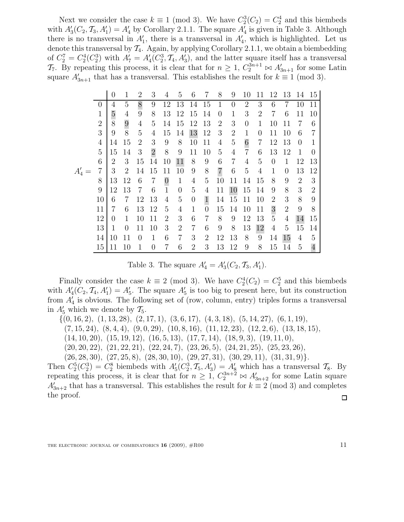Next we consider the case  $k \equiv 1 \pmod{3}$ . We have  $C_2^3(C_2) = C_2^4$  and this biembeds with  $A'_3(C_2, \mathcal{T}_3, A'_1) = A'_4$  by Corollary 2.1.1. The square  $A'_4$  is given in Table 3. Although there is no transversal in  $A'_1$ , there is a transversal in  $A'_4$ , which is highlighted. Let us denote this transversal by  $\mathcal{T}_4$ . Again, by applying Corollary 2.1.1, we obtain a biembedding of  $C_2^7 = C_2^4(C_2^3)$  with  $A'_7 = A'_4(C_2^3, \mathcal{T}_4, A'_3)$ , and the latter square itself has a transversal  $\mathcal{T}_7$ . By repeating this process, it is clear that for  $n \geq 1$ ,  $C_2^{3n+1} \bowtie A'_{3n+1}$  for some Latin square  $A'_{3n+1}$  that has a transversal. This establishes the result for  $k \equiv 1 \pmod{3}$ .

|        |                | $\overline{0}$ | 1              | 2              | 3              | 4              | 5              | 6                | 7              | 8              | 9              | 10             | 11             | 12             | 13             | 14             | 15             |
|--------|----------------|----------------|----------------|----------------|----------------|----------------|----------------|------------------|----------------|----------------|----------------|----------------|----------------|----------------|----------------|----------------|----------------|
|        | $\Omega$       | 4              | 5              | 8              | 9              | 12             | 13             | 14               | 15             | $\mathbf{1}$   | $\overline{0}$ | $\overline{2}$ | 3              | 6              | 7              | 10             | 11             |
|        | $\mathbf{1}$   | $\overline{5}$ | 4              | 9              | 8              | 13             | 12             | 15               | 14             | $\overline{0}$ | $\mathbf 1$    | 3              | $\overline{2}$ | $\overline{7}$ | 6              | 11             | 10             |
|        | $\overline{2}$ | 8              | 9              | $\overline{4}$ | 5              | 14             | 15             | 12               | 13             | $\overline{2}$ | 3              | $\overline{0}$ | $\mathbf{1}$   | 10             | 11             | 7              | 6              |
|        | 3              | 9              | 8              | 5              | 4              | 15             | 14             | 13               | 12             | 3              | $\overline{2}$ | $\mathbf{1}$   | $\overline{0}$ | 11             | 10             | 6              | 7              |
|        | 4              | 14             | 15             | $\overline{2}$ | 3              | 9              | 8              | 10               | 11             | 4              | 5              | $\overline{6}$ | 7              | 12             | 13             | $\theta$       | 1              |
|        | 5              | 15             | 14             | 3              | $\overline{2}$ | 8              | 9              | 11               | 10             | 5              | 4              | $\overline{7}$ | 6              | 13             | 12             | $\mathbf{1}$   | $\Omega$       |
|        | 6              | $\overline{2}$ | 3              | 15             | 14             | 10             | 11             | 8                | 9              | 6              | 7              | 4              | 5              | $\overline{0}$ | $\mathbf{1}$   | 12             | 13             |
| $A_4'$ | 7              | 3              | $\overline{2}$ | 14             | 15             | 11             | 10             | 9                | 8              | $\overline{7}$ | 6              | $\overline{5}$ | $\overline{4}$ | $\mathbf{1}$   | $\overline{0}$ | 13             | 12             |
|        | 8              | 13             | 12             | 6              | 7              | $\overline{0}$ | $\mathbf{1}$   | $\overline{4}$   | 5              | 10             | 11             | 14             | 15             | 8              | 9              | $\overline{2}$ | 3              |
|        | 9              | 12             | 13             | $\overline{7}$ | 6              | $\mathbf{1}$   | $\overline{0}$ | 5                | 4              | 11             | 10             | 15             | 14             | 9              | 8              | 3              | $\overline{2}$ |
|        | 10             | 6              | 7              | 12             | 13             | $\overline{4}$ | 5              | $\boldsymbol{0}$ | $\,1$          | 14             | 15             | 11             | 10             | $\overline{2}$ | 3              | 8              | 9              |
|        | 11             | 7              | 6              | 13             | 12             | 5              | 4              | 1                | $\overline{0}$ | 15             | 14             | 10             | 11             | 3              | $\overline{2}$ | 9              | 8              |
|        | 12             | 0              | 1              | 10             | 11             | $\overline{2}$ | 3              | 6                | 7              | 8              | 9              | 12             | 13             | 5              | 4              | 14             | 15             |
|        | 13             | $\mathbf{1}$   | $\theta$       | 11             | 10             | 3              | $\overline{2}$ | 7                | 6              | 9              | 8              | 13             | 12             | 4              | 5              | 15             | 14             |
|        | 14             | 10             | 11             | $\theta$       | $\mathbf{1}$   | 6              | $\overline{7}$ | 3                | $\overline{2}$ | 12             | 13             | 8              | 9              | 14             | 15             | 4              | 5              |
|        | 15             | 11             | 10             | $\mathbf{1}$   | $\overline{0}$ | $\overline{7}$ | 6              | $\overline{2}$   | 3              | 13             | 12             | 9              | 8              | 15             | 14             | 5              | $\overline{4}$ |

Table 3. The square  $A'_4 = A'_3(C_2, \mathcal{T}_3, A'_1)$ .

Finally consider the case  $k \equiv 2 \pmod{3}$ . We have  $C_2^4(C_2) = C_2^5$  and this biembeds with  $A'_4(C_2, \mathcal{T}_4, A'_1) = A'_5$ . The square  $A'_5$  is too big to present here, but its construction from  $A'_4$  is obvious. The following set of (row, column, entry) triples forms a transversal in  $A'_5$  which we denote by  $\mathcal{T}_5$ .

 $\{(0, 16, 2), (1, 13, 28), (2, 17, 1), (3, 6, 17), (4, 3, 18), (5, 14, 27), (6, 1, 19),$ 

 $(7, 15, 24), (8, 4, 4), (9, 0, 29), (10, 8, 16), (11, 12, 23), (12, 2, 6), (13, 18, 15),$ 

 $(14, 10, 20), (15, 19, 12), (16, 5, 13), (17, 7, 14), (18, 9, 3), (19, 11, 0),$ 

 $(20, 20, 22), (21, 22, 21), (22, 24, 7), (23, 26, 5), (24, 21, 25), (25, 23, 26),$ 

 $(26, 28, 30), (27, 25, 8), (28, 30, 10), (29, 27, 31), (30, 29, 11), (31, 31, 9)\}.$ 

Then  $C_2^5(C_2^3) = C_2^8$  biembeds with  $A'_5(C_2^3, \mathcal{T}_5, A'_3) = A'_8$  which has a transversal  $\mathcal{T}_8$ . By repeating this process, it is clear that for  $n \geq 1$ ,  $C_2^{3n+2} \bowtie A'_{3n+2}$  for some Latin square  $A'_{3n+2}$  that has a transversal. This establishes the result for  $k \equiv 2 \pmod{3}$  and completes the proof.  $\square$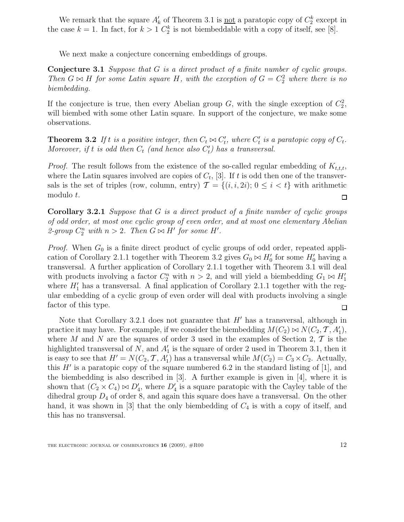We remark that the square  $A'_k$  of Theorem 3.1 is <u>not</u> a paratopic copy of  $C_2^k$  except in the case  $k = 1$ . In fact, for  $k > 1$   $C_2^k$  is not biembeddable with a copy of itself, see [8].

We next make a conjecture concerning embeddings of groups.

**Conjecture 3.1** Suppose that  $G$  is a direct product of a finite number of cyclic groups. Then  $G \bowtie H$  for some Latin square H, with the exception of  $G = C_2^2$  where there is no biembedding.

If the conjecture is true, then every Abelian group  $G$ , with the single exception of  $C_2^2$ , will biembed with some other Latin square. In support of the conjecture, we make some observations.

**Theorem 3.2** If t is a positive integer, then  $C_t \bowtie C'_t$ , where  $C'_t$  $t'$  is a paratopic copy of  $C_t$ . Moreover, if t is odd then  $C_t$  (and hence also  $C'_t$  $t'$ ) has a transversal.

*Proof.* The result follows from the existence of the so-called regular embedding of  $K_{t,t,t}$ , where the Latin squares involved are copies of  $C_t$ , [3]. If t is odd then one of the transversals is the set of triples (row, column, entry)  $\mathcal{T} = \{(i, i, 2i); 0 \leq i < t\}$  with arithmetic modulo t.  $\Box$ 

Corollary 3.2.1 Suppose that G is a direct product of a finite number of cyclic groups of odd order, at most one cyclic group of even order, and at most one elementary Abelian 2-group  $C_2^n$  with  $n > 2$ . Then  $G \bowtie H'$  for some  $H'$ .

*Proof.* When  $G_0$  is a finite direct product of cyclic groups of odd order, repeated application of Corollary 2.1.1 together with Theorem 3.2 gives  $G_0 \bowtie H'_0$  for some  $H'_0$  having a transversal. A further application of Corollary 2.1.1 together with Theorem 3.1 will deal with products involving a factor  $C_2^n$  with  $n > 2$ , and will yield a biembedding  $G_1 \bowtie H'_1$ where  $H'_1$  has a transversal. A final application of Corollary 2.1.1 together with the regular embedding of a cyclic group of even order will deal with products involving a single factor of this type. 口

Note that Corollary 3.2.1 does not guarantee that  $H'$  has a transversal, although in practice it may have. For example, if we consider the biembedding  $M(C_2) \bowtie N(C_2, \mathcal{T}, A'_1)$ , where M and N are the squares of order 3 used in the examples of Section 2,  $\mathcal T$  is the highlighted transversal of  $N$ , and  $A'_{1}$  is the square of order 2 used in Theorem 3.1, then it is easy to see that  $H' = N(C_2, \mathcal{T}, A'_1)$  has a transversal while  $M(C_2) = C_3 \times C_2$ . Actually, this  $H'$  is a paratopic copy of the square numbered 6.2 in the standard listing of [1], and the biembedding is also described in [3]. A further example is given in [4], where it is shown that  $(C_2 \times C_4) \bowtie D'_4$ , where  $D'_4$  is a square paratopic with the Cayley table of the dihedral group  $D_4$  of order 8, and again this square does have a transversal. On the other hand, it was shown in [3] that the only biembedding of  $C_4$  is with a copy of itself, and this has no transversal.